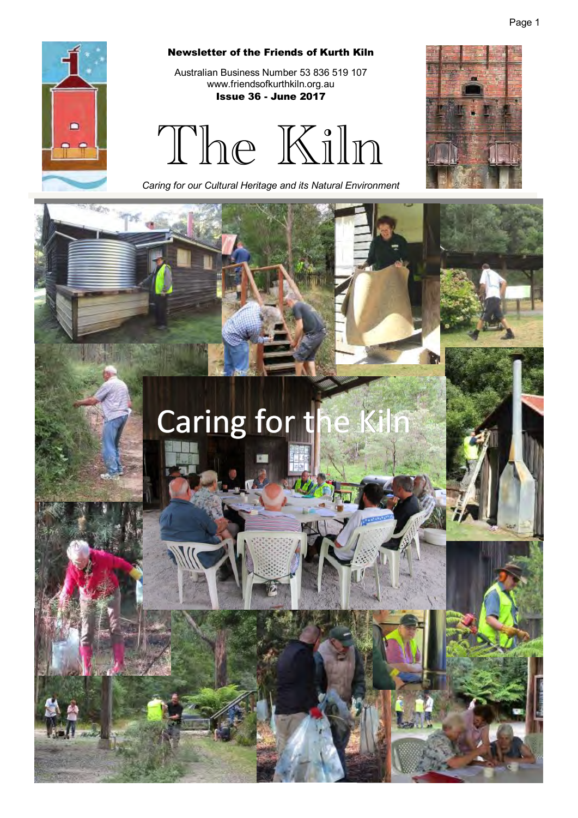

GB.

#### Newsletter of the Friends of Kurth Kiln

Australian Business Number 53 836 519 107 www.friendsofkurthkiln.org.au Issue 36 - June 2017

The Kiln

*Caring for our Cultural Heritage and its Natural Environment* 

# Caring for t

Page 1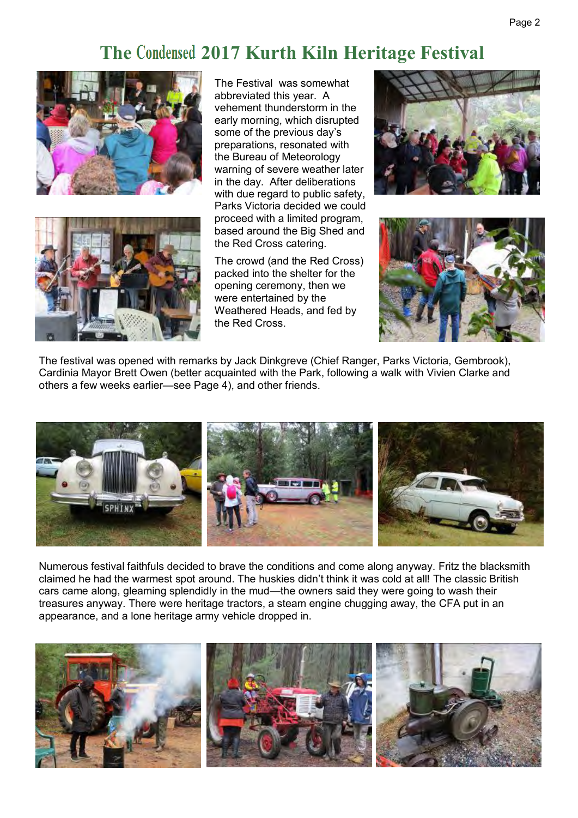#### Page 2

## **The 2017 Kurth Kiln Heritage Festival**





The Festival was somewhat abbreviated this year. A vehement thunderstorm in the early morning, which disrupted some of the previous day's preparations, resonated with the Bureau of Meteorology warning of severe weather later in the day. After deliberations with due regard to public safety, Parks Victoria decided we could proceed with a limited program, based around the Big Shed and the Red Cross catering.

The crowd (and the Red Cross) packed into the shelter for the opening ceremony, then we were entertained by the Weathered Heads, and fed by the Red Cross.





The festival was opened with remarks by Jack Dinkgreve (Chief Ranger, Parks Victoria, Gembrook), Cardinia Mayor Brett Owen (better acquainted with the Park, following a walk with Vivien Clarke and others a few weeks earlier—see Page 4), and other friends.



Numerous festival faithfuls decided to brave the conditions and come along anyway. Fritz the blacksmith claimed he had the warmest spot around. The huskies didn't think it was cold at all! The classic British cars came along, gleaming splendidly in the mud—the owners said they were going to wash their treasures anyway. There were heritage tractors, a steam engine chugging away, the CFA put in an appearance, and a lone heritage army vehicle dropped in.

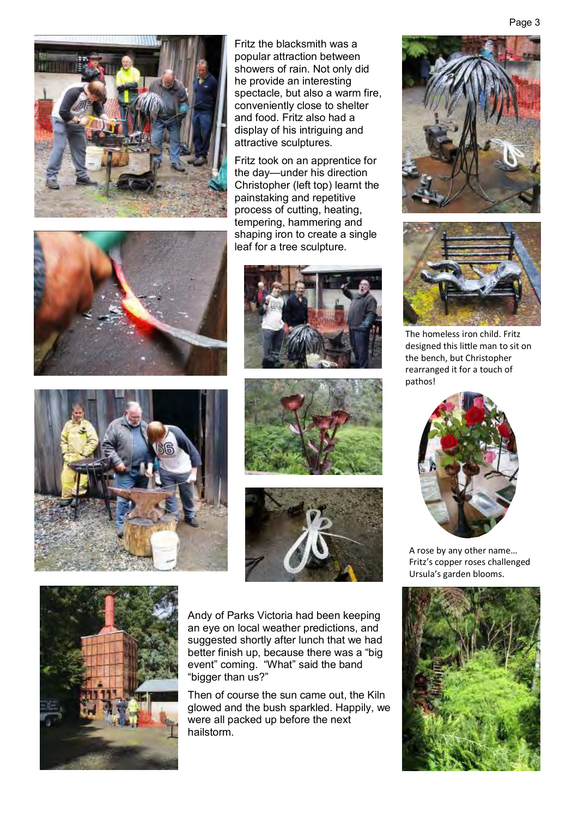

Fritz the blacksmith was a popular attraction between showers of rain. Not only did he provide an interesting spectacle, but also a warm fire, conveniently close to shelter and food. Fritz also had a display of his intriguing and attractive sculptures.

Fritz took on an apprentice for the day—under his direction Christopher (left top) learnt the painstaking and repetitive process of cutting, heating, tempering, hammering and shaping iron to create a single leaf for a tree sculpture.













Andy of Parks Victoria had been keeping an eye on local weather predictions, and suggested shortly after lunch that we had better finish up, because there was a "big event" coming. "What" said the band "bigger than us?"

Then of course the sun came out, the Kiln glowed and the bush sparkled. Happily, we were all packed up before the next hailstorm.





The homeless iron child. Fritz designed this little man to sit on the bench, but Christopher rearranged it for a touch of pathos!



A rose by any other name… Fritz's copper roses challenged Ursula's garden blooms.

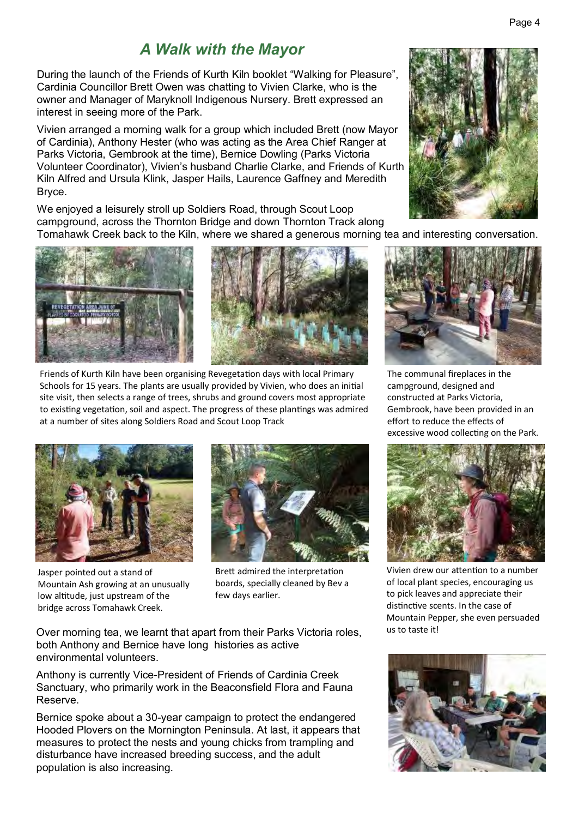#### *A Walk with the Mayor*

During the launch of the Friends of Kurth Kiln booklet "Walking for Pleasure", Cardinia Councillor Brett Owen was chatting to Vivien Clarke, who is the owner and Manager of Maryknoll Indigenous Nursery. Brett expressed an interest in seeing more of the Park.

Vivien arranged a morning walk for a group which included Brett (now Mayor of Cardinia), Anthony Hester (who was acting as the Area Chief Ranger at Parks Victoria, Gembrook at the time), Bernice Dowling (Parks Victoria Volunteer Coordinator), Vivien's husband Charlie Clarke, and Friends of Kurth Kiln Alfred and Ursula Klink, Jasper Hails, Laurence Gaffney and Meredith Bryce.

We enjoyed a leisurely stroll up Soldiers Road, through Scout Loop campground, across the Thornton Bridge and down Thornton Track along Tomahawk Creek back to the Kiln, where we shared a generous morning tea and interesting conversation.





Friends of Kurth Kiln have been organising Revegetation days with local Primary Schools for 15 years. The plants are usually provided by Vivien, who does an initial site visit, then selects a range of trees, shrubs and ground covers most appropriate to existing vegetation, soil and aspect. The progress of these plantings was admired at a number of sites along Soldiers Road and Scout Loop Track



Jasper pointed out a stand of Mountain Ash growing at an unusually low altitude, just upstream of the bridge across Tomahawk Creek.



Brett admired the interpretation boards, specially cleaned by Bev a few days earlier.

Over morning tea, we learnt that apart from their Parks Victoria roles, both Anthony and Bernice have long histories as active environmental volunteers.

Anthony is currently Vice-President of Friends of Cardinia Creek Sanctuary, who primarily work in the Beaconsfield Flora and Fauna Reserve.

Bernice spoke about a 30-year campaign to protect the endangered Hooded Plovers on the Mornington Peninsula. At last, it appears that measures to protect the nests and young chicks from trampling and disturbance have increased breeding success, and the adult population is also increasing.





The communal fireplaces in the campground, designed and constructed at Parks Victoria, Gembrook, have been provided in an effort to reduce the effects of excessive wood collecting on the Park.



Vivien drew our attention to a number of local plant species, encouraging us to pick leaves and appreciate their distinctive scents. In the case of Mountain Pepper, she even persuaded us to taste it!

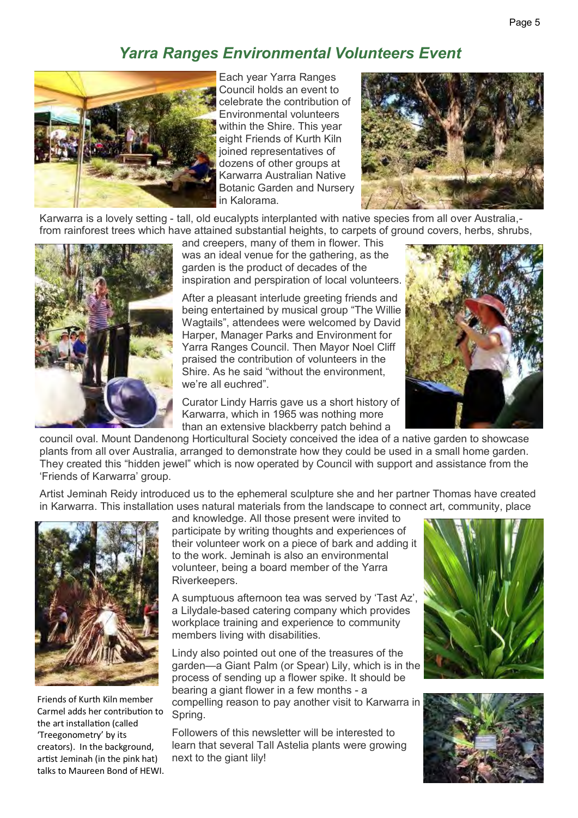## *Yarra Ranges Environmental Volunteers Event*



Each year Yarra Ranges Council holds an event to celebrate the contribution of Environmental volunteers within the Shire. This year eight Friends of Kurth Kiln joined representatives of dozens of other groups at Karwarra Australian Native Botanic Garden and Nursery in Kalorama.



Karwarra is a lovely setting - tall, old eucalypts interplanted with native species from all over Australia, from rainforest trees which have attained substantial heights, to carpets of ground covers, herbs, shrubs,



and creepers, many of them in flower. This was an ideal venue for the gathering, as the garden is the product of decades of the inspiration and perspiration of local volunteers.

After a pleasant interlude greeting friends and being entertained by musical group "The Willie Wagtails", attendees were welcomed by David Harper, Manager Parks and Environment for Yarra Ranges Council. Then Mayor Noel Cliff praised the contribution of volunteers in the Shire. As he said "without the environment, we're all euchred".

Curator Lindy Harris gave us a short history of Karwarra, which in 1965 was nothing more than an extensive blackberry patch behind a



council oval. Mount Dandenong Horticultural Society conceived the idea of a native garden to showcase plants from all over Australia, arranged to demonstrate how they could be used in a small home garden. They created this "hidden jewel" which is now operated by Council with support and assistance from the 'Friends of Karwarra' group.

Artist Jeminah Reidy introduced us to the ephemeral sculpture she and her partner Thomas have created in Karwarra. This installation uses natural materials from the landscape to connect art, community, place



Friends of Kurth Kiln member Carmel adds her contribution to the art installation (called 'Treegonometry' by its creators). In the background, artist Jeminah (in the pink hat) talks to Maureen Bond of HEWI. and knowledge. All those present were invited to participate by writing thoughts and experiences of their volunteer work on a piece of bark and adding it to the work. Jeminah is also an environmental volunteer, being a board member of the Yarra Riverkeepers.

A sumptuous afternoon tea was served by 'Tast Az', a Lilydale-based catering company which provides workplace training and experience to community members living with disabilities.

Lindy also pointed out one of the treasures of the garden—a Giant Palm (or Spear) Lily, which is in the process of sending up a flower spike. It should be bearing a giant flower in a few months - a compelling reason to pay another visit to Karwarra in Spring.

Followers of this newsletter will be interested to learn that several Tall Astelia plants were growing next to the giant lily!



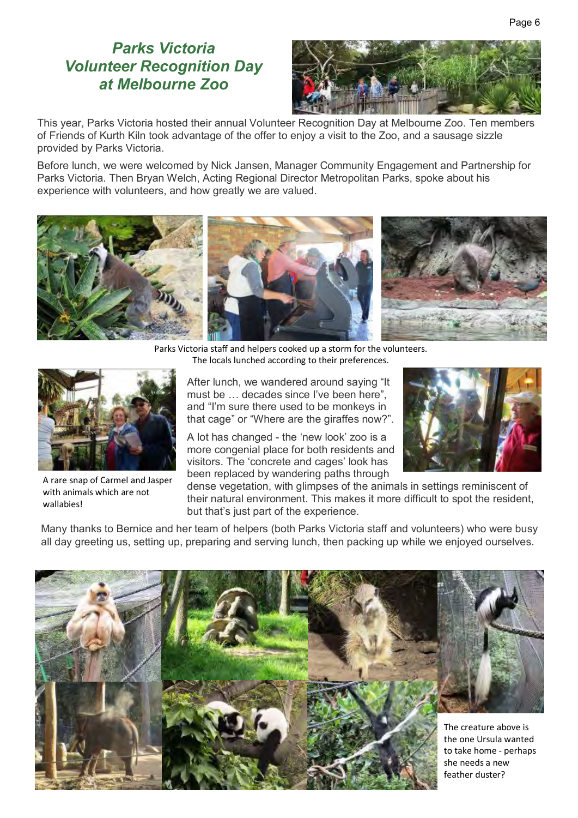#### *Parks Victoria Volunteer Recognition Day at Melbourne Zoo*



This year, Parks Victoria hosted their annual Volunteer Recognition Day at Melbourne Zoo. Ten members of Friends of Kurth Kiln took advantage of the offer to enjoy a visit to the Zoo, and a sausage sizzle provided by Parks Victoria.

Before lunch, we were welcomed by Nick Jansen, Manager Community Engagement and Partnership for Parks Victoria. Then Bryan Welch, Acting Regional Director Metropolitan Parks, spoke about his experience with volunteers, and how greatly we are valued.



Parks Victoria staff and helpers cooked up a storm for the volunteers. The locals lunched according to their preferences.



A rare snap of Carmel and Jasper with animals which are not wallabies!

After lunch, we wandered around saying "It must be … decades since I've been here", and "I'm sure there used to be monkeys in that cage" or "Where are the giraffes now?".

A lot has changed - the 'new look' zoo is a more congenial place for both residents and visitors. The 'concrete and cages' look has been replaced by wandering paths through



dense vegetation, with glimpses of the animals in settings reminiscent of their natural environment. This makes it more difficult to spot the resident, but that's just part of the experience.

Many thanks to Bernice and her team of helpers (both Parks Victoria staff and volunteers) who were busy all day greeting us, setting up, preparing and serving lunch, then packing up while we enjoyed ourselves.

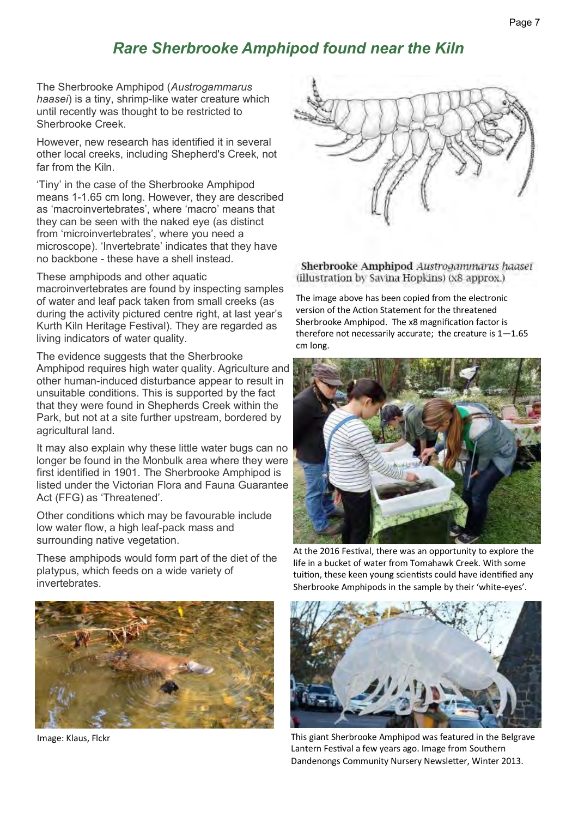### *Rare Sherbrooke Amphipod found near the Kiln*

The Sherbrooke Amphipod (*Austrogammarus haasei*) is a tiny, shrimp-like water creature which until recently was thought to be restricted to Sherbrooke Creek.

However, new research has identified it in several other local creeks, including Shepherd's Creek, not far from the Kiln.

'Tiny' in the case of the Sherbrooke Amphipod means 1-1.65 cm long. However, they are described as 'macroinvertebrates', where 'macro' means that they can be seen with the naked eye (as distinct from 'microinvertebrates', where you need a microscope). 'Invertebrate' indicates that they have no backbone - these have a shell instead.

These amphipods and other aquatic

macroinvertebrates are found by inspecting samples of water and leaf pack taken from small creeks (as during the activity pictured centre right, at last year's Kurth Kiln Heritage Festival). They are regarded as living indicators of water quality.

The evidence suggests that the Sherbrooke Amphipod requires high water quality. Agriculture and other human-induced disturbance appear to result in unsuitable conditions. This is supported by the fact that they were found in Shepherds Creek within the Park, but not at a site further upstream, bordered by agricultural land.

It may also explain why these little water bugs can no longer be found in the Monbulk area where they were first identified in 1901. The Sherbrooke Amphipod is listed under the Victorian Flora and Fauna Guarantee Act (FFG) as 'Threatened'.

Other conditions which may be favourable include low water flow, a high leaf-pack mass and surrounding native vegetation.

These amphipods would form part of the diet of the platypus, which feeds on a wide variety of invertebrates.



Image: Klaus, Flckr



Sherbrooke Amphipod Austrogammarus haasei (illustration by Savina Hopkins) (x8 approx.)

The image above has been copied from the electronic version of the Action Statement for the threatened Sherbrooke Amphipod. The x8 magnification factor is therefore not necessarily accurate; the creature is  $1-1.65$ cm long.



At the 2016 Festival, there was an opportunity to explore the life in a bucket of water from Tomahawk Creek. With some tuition, these keen young scientists could have identified any Sherbrooke Amphipods in the sample by their 'white-eyes'.



This giant Sherbrooke Amphipod was featured in the Belgrave Lantern Festival a few years ago. Image from Southern Dandenongs Community Nursery Newsletter, Winter 2013.